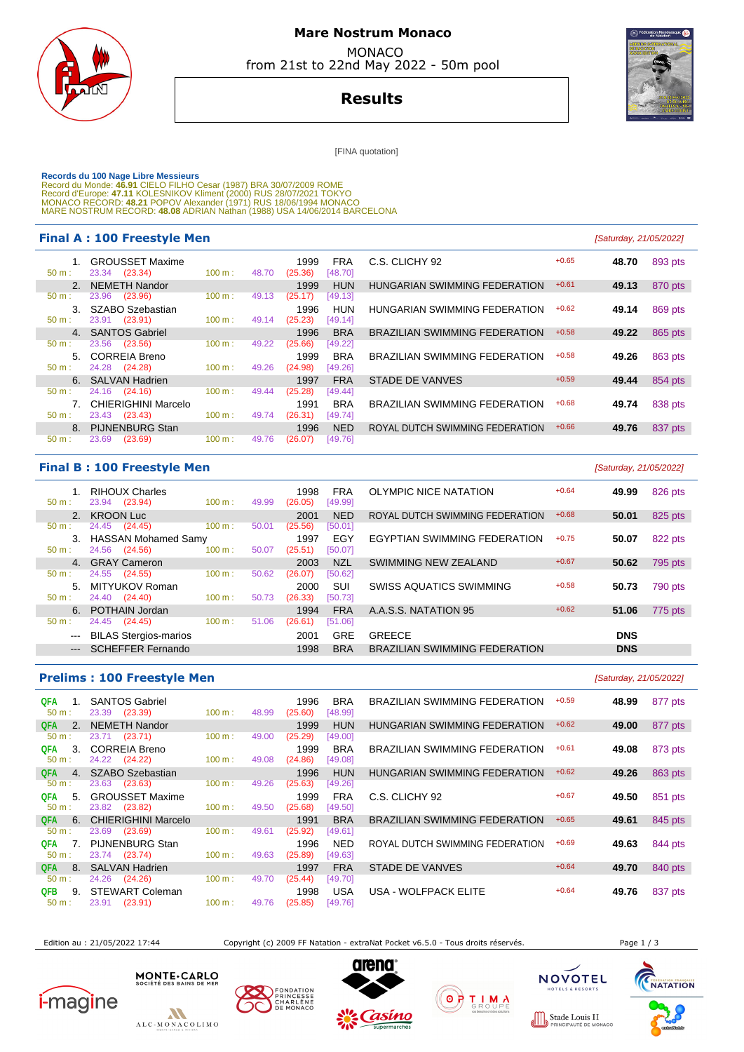

## **Mare Nostrum Monaco**  MONACO

from 21st to 22nd May 2022 - 50m pool

**Results**

[FINA quotation]

Records du 100 Nage Libre Messieurs<br>Record du Monde: 46.91 CIELO FILHO Cesar (1987) BRA 30/07/2009 ROME<br>Record d'Europe: 47.11 KOLESNIKOV Kliment (2000) RUS 28/07/2021 TOKYO<br>MONACO RECORD: 48.21 POPOV Alexander (1971) RUS

#### **Final A : 100 Freestyle Men Example 21/05/2022 Final A : 100 Freestyle Men**

| $+0.65$<br>C.S. CLICHY 92<br><b>GROUSSET Maxime</b><br>1999<br><b>FRA</b><br>48.70<br>23.34 (23.34)<br>100 m:<br>[48.70]<br>$50 m$ :<br>48.70<br>(25.36)<br><b>HUN</b><br>$+0.61$<br>2. NEMETH Nandor<br>1999<br>HUNGARIAN SWIMMING FEDERATION<br>49.13<br>23.96 (23.96)<br>100 m:<br>(25.17)<br>49.13<br>[49.13]<br>$50 m$ :<br>SZABO Szebastian<br><b>HUN</b><br>HUNGARIAN SWIMMING FEDERATION<br>$+0.62$<br>$3_{-}$<br>1996<br>49.14<br>23.91 (23.91)<br>[49.14]<br>$50 m$ :<br>100 m:<br>(25.23)<br>49.14<br>$+0.58$<br>4. SANTOS Gabriel<br><b>BRA</b><br>1996<br><b>BRAZILIAN SWIMMING FEDERATION</b><br>49.22<br>$50 m$ :<br>23.56 (23.56)<br>100 m:<br>49.22<br>(25.66)<br>[49.22]<br><b>CORREIA Breno</b><br><b>BRA</b><br>$+0.58$<br>1999<br><b>BRAZILIAN SWIMMING FEDERATION</b><br>49.26<br>5 <sub>1</sub><br>24.28 (24.28)<br>100 m:<br>$50 m$ :<br>(24.98)<br>[49.26]<br>49.26<br><b>FRA</b><br>$+0.59$<br>6. SALVAN Hadrien<br>STADE DE VANVES<br>1997<br>49.44<br>24.16 (24.16)<br>(25.28)<br>100 m:<br>[49.44]<br>$50 m$ :<br>49.44<br>CHIERIGHINI Marcelo<br><b>BRA</b><br>$+0.68$<br>1991<br><b>BRAZILIAN SWIMMING FEDERATION</b><br>49.74<br>23.43 (23.43)<br>100 m:<br>49.74<br>(26.31)<br>[49.74]<br>$50 m$ :<br><b>NED</b><br><b>PIJNENBURG Stan</b><br>ROYAL DUTCH SWIMMING FEDERATION<br>$+0.66$<br>1996<br>49.76<br>8.<br>23.69<br>(23.69)<br>100 m:<br>49.76<br>$50 m$ :<br>(26.07)<br>[49.76] | ----- - - - - - - - - - - - - - - |  |  |  |         |
|---------------------------------------------------------------------------------------------------------------------------------------------------------------------------------------------------------------------------------------------------------------------------------------------------------------------------------------------------------------------------------------------------------------------------------------------------------------------------------------------------------------------------------------------------------------------------------------------------------------------------------------------------------------------------------------------------------------------------------------------------------------------------------------------------------------------------------------------------------------------------------------------------------------------------------------------------------------------------------------------------------------------------------------------------------------------------------------------------------------------------------------------------------------------------------------------------------------------------------------------------------------------------------------------------------------------------------------------------------------------------------------------------------------------------|-----------------------------------|--|--|--|---------|
|                                                                                                                                                                                                                                                                                                                                                                                                                                                                                                                                                                                                                                                                                                                                                                                                                                                                                                                                                                                                                                                                                                                                                                                                                                                                                                                                                                                                                           |                                   |  |  |  | 893 pts |
|                                                                                                                                                                                                                                                                                                                                                                                                                                                                                                                                                                                                                                                                                                                                                                                                                                                                                                                                                                                                                                                                                                                                                                                                                                                                                                                                                                                                                           |                                   |  |  |  | 870 pts |
|                                                                                                                                                                                                                                                                                                                                                                                                                                                                                                                                                                                                                                                                                                                                                                                                                                                                                                                                                                                                                                                                                                                                                                                                                                                                                                                                                                                                                           |                                   |  |  |  |         |
|                                                                                                                                                                                                                                                                                                                                                                                                                                                                                                                                                                                                                                                                                                                                                                                                                                                                                                                                                                                                                                                                                                                                                                                                                                                                                                                                                                                                                           |                                   |  |  |  | 869 pts |
|                                                                                                                                                                                                                                                                                                                                                                                                                                                                                                                                                                                                                                                                                                                                                                                                                                                                                                                                                                                                                                                                                                                                                                                                                                                                                                                                                                                                                           |                                   |  |  |  | 865 pts |
|                                                                                                                                                                                                                                                                                                                                                                                                                                                                                                                                                                                                                                                                                                                                                                                                                                                                                                                                                                                                                                                                                                                                                                                                                                                                                                                                                                                                                           |                                   |  |  |  |         |
|                                                                                                                                                                                                                                                                                                                                                                                                                                                                                                                                                                                                                                                                                                                                                                                                                                                                                                                                                                                                                                                                                                                                                                                                                                                                                                                                                                                                                           |                                   |  |  |  | 863 pts |
|                                                                                                                                                                                                                                                                                                                                                                                                                                                                                                                                                                                                                                                                                                                                                                                                                                                                                                                                                                                                                                                                                                                                                                                                                                                                                                                                                                                                                           |                                   |  |  |  | 854 pts |
|                                                                                                                                                                                                                                                                                                                                                                                                                                                                                                                                                                                                                                                                                                                                                                                                                                                                                                                                                                                                                                                                                                                                                                                                                                                                                                                                                                                                                           |                                   |  |  |  |         |
|                                                                                                                                                                                                                                                                                                                                                                                                                                                                                                                                                                                                                                                                                                                                                                                                                                                                                                                                                                                                                                                                                                                                                                                                                                                                                                                                                                                                                           |                                   |  |  |  | 838 pts |
|                                                                                                                                                                                                                                                                                                                                                                                                                                                                                                                                                                                                                                                                                                                                                                                                                                                                                                                                                                                                                                                                                                                                                                                                                                                                                                                                                                                                                           |                                   |  |  |  |         |
|                                                                                                                                                                                                                                                                                                                                                                                                                                                                                                                                                                                                                                                                                                                                                                                                                                                                                                                                                                                                                                                                                                                                                                                                                                                                                                                                                                                                                           |                                   |  |  |  | 837 pts |
|                                                                                                                                                                                                                                                                                                                                                                                                                                                                                                                                                                                                                                                                                                                                                                                                                                                                                                                                                                                                                                                                                                                                                                                                                                                                                                                                                                                                                           |                                   |  |  |  |         |

### **Final B : 100 Freestyle Men** [Saturday, 21/05/2022]

| $50 m$ :               | <b>RIHOUX Charles</b><br>23.94<br>(23.94) | 100 m: | 49.99 | 1998<br>(26.05) | FRA<br>[49.99] | OLYMPIC NICE NATATION                | $+0.64$ | 49.99      | 826 pts |
|------------------------|-------------------------------------------|--------|-------|-----------------|----------------|--------------------------------------|---------|------------|---------|
|                        | 2. KROON Luc                              |        |       | 2001            | <b>NED</b>     | ROYAL DUTCH SWIMMING FEDERATION      | $+0.68$ | 50.01      | 825 pts |
| $50 m$ :               | 24.45 (24.45)                             | 100 m: | 50.01 | (25.56)         | [50.01]        |                                      |         |            |         |
| 3.                     | <b>HASSAN Mohamed Samy</b>                |        |       | 1997            | EGY            | EGYPTIAN SWIMMING FEDERATION         | $+0.75$ | 50.07      | 822 pts |
| $50 m$ :               | 24.56 (24.56)                             | 100 m: | 50.07 | (25.51)         | [50.07]        |                                      |         |            |         |
|                        | 4. GRAY Cameron                           |        |       | 2003            | <b>NZL</b>     | SWIMMING NEW ZEALAND                 | $+0.67$ | 50.62      | 795 pts |
| $50 m$ :               | 24.55 (24.55)                             | 100 m: | 50.62 | (26.07)         | [50.62]        |                                      |         |            |         |
| 5.                     | MITYUKOV Roman                            |        |       | 2000            | <b>SUI</b>     | <b>SWISS AQUATICS SWIMMING</b>       | $+0.58$ | 50.73      | 790 pts |
| $50 m$ :               | 24.40 (24.40)                             | 100 m: | 50.73 | (26.33)         | [50.73]        |                                      |         |            |         |
|                        | 6. POTHAIN Jordan                         |        |       | 1994            | <b>FRA</b>     | A.A.S.S. NATATION 95                 | $+0.62$ | 51.06      | 775 pts |
| 50 m:                  | 24.45 (24.45)                             | 100 m: | 51.06 | (26.61)         | [51.06]        |                                      |         |            |         |
| $\qquad \qquad \cdots$ | <b>BILAS Stergios-marios</b>              |        |       | 2001            | <b>GRE</b>     | <b>GREECE</b>                        |         | <b>DNS</b> |         |
| $\qquad \qquad - -$    | <b>SCHEFFER Fernando</b>                  |        |       | 1998            | <b>BRA</b>     | <b>BRAZILIAN SWIMMING FEDERATION</b> |         | <b>DNS</b> |         |
|                        |                                           |        |       |                 |                |                                      |         |            |         |

## **Prelims : 100 Freestyle Men** [Saturday, 21/05/2022]

| QFA        |    | 1. SANTOS Gabriel          |                   |       | 1996    | <b>BRA</b> |
|------------|----|----------------------------|-------------------|-------|---------|------------|
| 50 m:      |    | 23.39 (23.39)              | $100 \text{ m}$ : | 48.99 | (25.60) | [48.99]    |
|            |    | QFA 2. NEMETH Nandor       |                   |       | 1999    | <b>HUN</b> |
| 50 m:      |    | 23.71 (23.71)              | 100 m:            | 49.00 | (25.29) | [49.00]    |
| QFA        |    | 3. CORREIA Breno           |                   |       | 1999    | <b>BRA</b> |
| 50 m:      |    | 24.22 (24.22)              | $100 \text{ m}$ : | 49.08 | (24.86) | [49.08]    |
| <b>QFA</b> |    | 4. SZABO Szebastian        |                   |       | 1996    | <b>HUN</b> |
| 50 m:      |    | 23.63 (23.63)              | 100 m:            | 49.26 | (25.63) | [49.26]    |
| QFA        | 5. | <b>GROUSSET Maxime</b>     |                   |       | 1999    | <b>FRA</b> |
| 50 m:      |    | 23.82 (23.82)              | $100 \text{ m}$ : | 49.50 | (25.68) | [49.50]    |
|            |    | QFA 6. CHIERIGHINI Marcelo |                   |       |         | 1991 BRA   |
| $50 m$ :   |    | 23.69 (23.69)              | 100 m:            | 49.61 | (25.92) | [49.61]    |
| QFA        |    | 7. PIJNENBURG Stan         |                   |       | 1996    | <b>NED</b> |
| 50 m:      |    | 23.74 (23.74)              | $100 \text{ m}$ : | 49.63 | (25.89) | [49.63]    |
| <b>QFA</b> |    | 8. SALVAN Hadrien          |                   |       | 1997    | <b>FRA</b> |
| 50 m:      |    | 24.26 (24.26)              | 100 m:            | 49.70 | (25.44) | [49.70]    |
| <b>QFB</b> |    | 9. STEWART Coleman         |                   |       | 1998    | <b>USA</b> |
| 50 m:      |    | (23.91)<br>23.91           | 100 m:            | 49.76 | (25.85) | [49.76]    |

|                     |                | <u>Fightis. Too incestyle meil</u>     |           |       |                 |                       |                                      |         | $10$ alu $100$ , $2100$ l $2022$ |         |
|---------------------|----------------|----------------------------------------|-----------|-------|-----------------|-----------------------|--------------------------------------|---------|----------------------------------|---------|
| <b>QFA</b><br>50 m: | 1.             | <b>SANTOS Gabriel</b><br>23.39 (23.39) | 100 m:    | 48.99 | 1996<br>(25.60) | <b>BRA</b><br>[48.99] | BRAZILIAN SWIMMING FEDERATION        | $+0.59$ | 48.99                            | 877 pts |
| <b>QFA</b>          | 2.             | <b>NEMETH Nandor</b>                   |           |       | 1999            | <b>HUN</b>            | HUNGARIAN SWIMMING FEDERATION        | $+0.62$ | 49.00                            | 877 pts |
| 50 m:               |                | 23.71 (23.71)                          | 100 m:    | 49.00 | (25.29)         | [49.00]               |                                      |         |                                  |         |
| QFA<br>50 m:        | 3.             | <b>CORREIA Breno</b><br>24.22 (24.22)  | 100 m:    | 49.08 | 1999<br>(24.86) | <b>BRA</b><br>[49.08] | <b>BRAZILIAN SWIMMING FEDERATION</b> | $+0.61$ | 49.08                            | 873 pts |
| QFA                 | 4.             | <b>SZABO Szebastian</b>                |           |       | 1996            | <b>HUN</b>            | HUNGARIAN SWIMMING FEDERATION        | $+0.62$ | 49.26                            | 863 pts |
| $50 m$ :            |                | 23.63 (23.63)                          | 100 m:    | 49.26 | (25.63)         | [49.26]               |                                      |         |                                  |         |
| QFA                 | 5.             | <b>GROUSSET Maxime</b>                 |           |       | 1999            | <b>FRA</b>            | C.S. CLICHY 92                       | $+0.67$ | 49.50                            | 851 pts |
| 50 m:               |                | 23.82 (23.82)                          | 100 m:    | 49.50 | (25.68)         | [49.50]               |                                      |         |                                  |         |
| <b>QFA</b>          | 6.             | CHIERIGHINI Marcelo                    |           |       | 1991            | <b>BRA</b>            | <b>BRAZILIAN SWIMMING FEDERATION</b> | $+0.65$ | 49.61                            | 845 pts |
| $50 m$ :            |                | 23.69<br>(23.69)                       | 100 m:    | 49.61 | (25.92)         | [49.61]               |                                      |         |                                  |         |
| QFA                 | 7 <sub>1</sub> | <b>PIJNENBURG Stan</b>                 |           |       | 1996            | <b>NED</b>            | ROYAL DUTCH SWIMMING FEDERATION      | $+0.69$ | 49.63                            | 844 pts |
| 50 m:               |                | 23.74 (23.74)                          | 100 m:    | 49.63 | (25.89)         | [49.63]               |                                      |         |                                  |         |
| QFA.                | 8.             | <b>SALVAN Hadrien</b>                  |           |       | 1997            | <b>FRA</b>            | <b>STADE DE VANVES</b>               | $+0.64$ | 49.70                            | 840 pts |
| 50 m:               |                | 24.26<br>(24.26)                       | $100 m$ : | 49.70 | (25.44)         | [49.70]               |                                      |         |                                  |         |
| QFB.                | 9.             | STEWART Coleman                        |           |       | 1998            | USA                   | USA - WOLFPACK ELITE                 | $+0.64$ | 49.76                            | 837 pts |
|                     |                |                                        |           |       |                 |                       |                                      |         |                                  |         |

Edition au : 21/05/2022 17:44 Copyright (c) 2009 FF Natation - extraNat Pocket v6.5.0 - Tous droits réservés. Page 1 / 3











Stade Louis II

**ILS 11**<br>DE MONACC

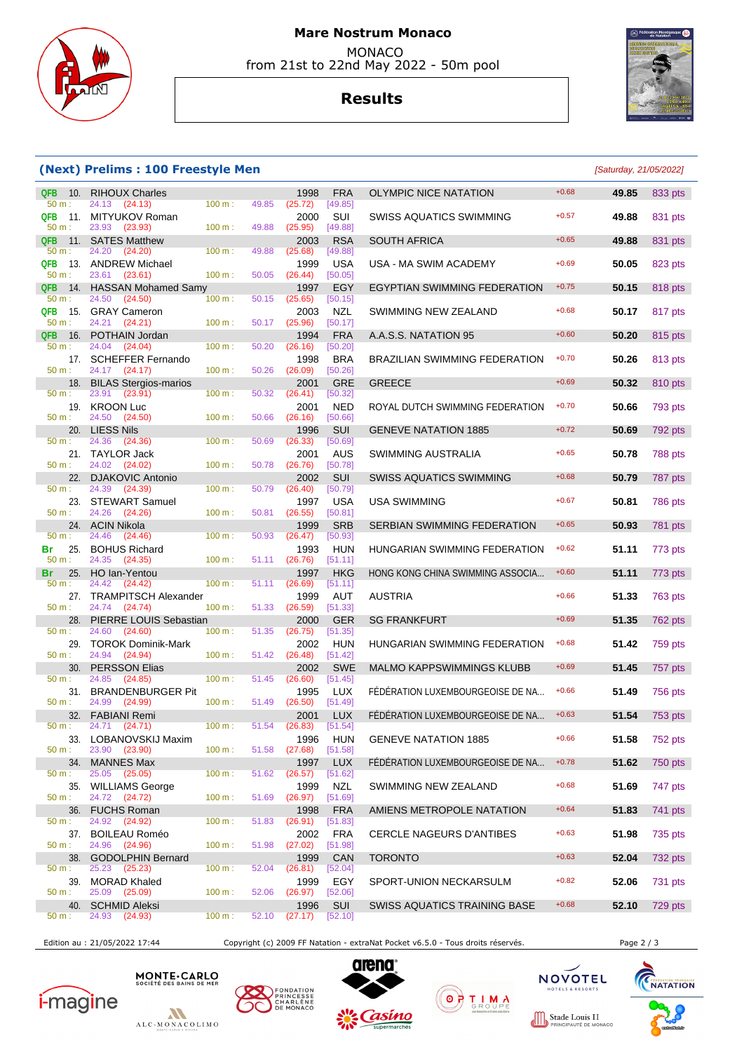

### **Mare Nostrum Monaco**  MONACO from 21st to 22nd May 2022 - 50m pool

**Results**



#### **(Next) Prelims : 100 Freestyle Men** [Saturday, 21/05/2022]

| <b>QFB</b><br>-10.<br>50 m: | <b>RIHOUX Charles</b><br>24.13<br>(24.13)      | 100 m:    | 49.85 | 1998<br>(25.72) | <b>FRA</b><br>[49.85] | <b>OLYMPIC NICE NATATION</b>         | $+0.68$ | 49.85 | 833 pts        |
|-----------------------------|------------------------------------------------|-----------|-------|-----------------|-----------------------|--------------------------------------|---------|-------|----------------|
| QFB<br>11.<br>50 m:         | MITYUKOV Roman<br>23.93<br>(23.93)             | 100 m:    | 49.88 | 2000<br>(25.95) | SUI<br>[49.88]        | SWISS AQUATICS SWIMMING              | $+0.57$ | 49.88 | 831 pts        |
| <b>QFB</b>                  | 11. SATES Matthew                              |           |       | 2003            | <b>RSA</b>            | <b>SOUTH AFRICA</b>                  | $+0.65$ | 49.88 | 831 pts        |
| $50 m$ :<br>QFB             | 24.20<br>(24.20)<br>13. ANDREW Michael         | 100 m:    | 49.88 | (25.68)<br>1999 | [49.88]<br><b>USA</b> | USA - MA SWIM ACADEMY                | $+0.69$ | 50.05 | 823 pts        |
| 50 m:<br><b>QFB</b><br>14.  | 23.61<br>(23.61)<br><b>HASSAN Mohamed Samy</b> | 100 m:    | 50.05 | (26.44)<br>1997 | [50.05]<br>EGY        | EGYPTIAN SWIMMING FEDERATION         | $+0.75$ | 50.15 | 818 pts        |
| 50 m:                       | 24.50<br>(24.50)                               | 100 m:    | 50.15 | (25.65)         | [50.15]               |                                      |         |       |                |
| <b>QFB</b><br>50 m:         | 15. GRAY Cameron<br>24.21<br>(24.21)           | 100 m:    | 50.17 | 2003<br>(25.96) | NZL<br>[50.17]        | SWIMMING NEW ZEALAND                 | $+0.68$ | 50.17 | 817 pts        |
| <b>QFB</b><br>16.           | POTHAIN Jordan                                 |           |       | 1994            | <b>FRA</b>            | A.A.S.S. NATATION 95                 | $+0.60$ | 50.20 | 815 pts        |
| $50 m$ :                    | 24.04<br>(24.04)                               | 100 m:    | 50.20 | (26.16)         | [50.20]               |                                      |         |       |                |
| 50 m:                       | 17. SCHEFFER Fernando<br>24.17 (24.17)         | 100 m:    | 50.26 | 1998<br>(26.09) | <b>BRA</b><br>[50.26] | <b>BRAZILIAN SWIMMING FEDERATION</b> | $+0.70$ | 50.26 | 813 pts        |
|                             | 18. BILAS Stergios-marios                      |           |       | 2001            | <b>GRE</b>            | <b>GREECE</b>                        | $+0.69$ | 50.32 | 810 pts        |
| 50 m:                       | 23.91<br>(23.91)<br>19. KROON Luc              | 100 m:    | 50.32 | (26.41)<br>2001 | [50.32]<br><b>NED</b> | ROYAL DUTCH SWIMMING FEDERATION      | $+0.70$ | 50.66 | 793 pts        |
| 50 m:                       | 24.50<br>(24.50)                               | 100 m:    | 50.66 | (26.16)         | [50.66]               |                                      |         |       |                |
| 20.                         | <b>LIESS Nils</b>                              |           |       | 1996            | SUI                   | <b>GENEVE NATATION 1885</b>          | $+0.72$ | 50.69 | 792 pts        |
| 50 m:                       | 24.36<br>(24.36)<br>21. TAYLOR Jack            | 100 m:    | 50.69 | (26.33)<br>2001 | [50.69]<br>AUS        | SWIMMING AUSTRALIA                   | $+0.65$ | 50.78 | <b>788 pts</b> |
| 50 m:                       | 24.02 (24.02)                                  | 100 m:    | 50.78 | (26.76)         | [50.78]               |                                      |         |       |                |
| 22.<br>50 m:                | <b>DJAKOVIC Antonio</b><br>24.39<br>(24.39)    | 100 m:    | 50.79 | 2002<br>(26.40) | SUI<br>[50.79]        | SWISS AQUATICS SWIMMING              | $+0.68$ | 50.79 | 787 pts        |
| 23.                         | <b>STEWART Samuel</b>                          |           |       | 1997            | <b>USA</b>            | <b>USA SWIMMING</b>                  | $+0.67$ | 50.81 | 786 pts        |
| 50 m:                       | 24.26<br>(24.26)                               | 100 m:    | 50.81 | (26.55)         | [50.81]               |                                      | $+0.65$ |       |                |
| 50 m:                       | 24. ACIN Nikola<br>24.46<br>(24.46)            | 100 m:    | 50.93 | 1999<br>(26.47) | <b>SRB</b><br>[50.93] | SERBIAN SWIMMING FEDERATION          |         | 50.93 | 781 pts        |
| Br                          | 25. BOHUS Richard                              |           |       | 1993            | <b>HUN</b>            | HUNGARIAN SWIMMING FEDERATION        | $+0.62$ | 51.11 | 773 pts        |
| 50 m:<br>25.<br>Br          | 24.35<br>(24.35)<br>HO lan-Yentou              | 100 m:    | 51.11 | (26.76)<br>1997 | [51.11]<br><b>HKG</b> | HONG KONG CHINA SWIMMING ASSOCIA     | $+0.60$ | 51.11 | 773 pts        |
| 50 m:                       | 24.42<br>(24.42)                               | 100 m:    | 51.11 | (26.69)         | [51.11]               |                                      |         |       |                |
| $50 m$ :                    | 27. TRAMPITSCH Alexander<br>24.74 (24.74)      | 100 m:    | 51.33 | 1999<br>(26.59) | AUT<br>[51.33]        | <b>AUSTRIA</b>                       | $+0.66$ | 51.33 | 763 pts        |
| 28.                         | PIERRE LOUIS Sebastian                         |           |       | 2000            | <b>GER</b>            | <b>SG FRANKFURT</b>                  | $+0.69$ | 51.35 | 762 pts        |
| 50 m:<br>29.                | 24.60<br>(24.60)<br><b>TOROK Dominik-Mark</b>  | 100 m:    | 51.35 | (26.75)<br>2002 | [51.35]<br><b>HUN</b> | HUNGARIAN SWIMMING FEDERATION        | $+0.68$ | 51.42 | 759 pts        |
| 50 m:                       | 24.94<br>(24.94)                               | 100 m:    | 51.42 | (26.48)         | [51.42]               |                                      |         |       |                |
| 30.<br>50 m:                | <b>PERSSON Elias</b><br>24.85<br>(24.85)       | 100 m:    | 51.45 | 2002<br>(26.60) | <b>SWE</b><br>[51.45] | <b>MALMO KAPPSWIMMINGS KLUBB</b>     | $+0.69$ | 51.45 | 757 pts        |
| 31.                         | <b>BRANDENBURGER Pit</b>                       |           |       | 1995            | LUX                   | FÉDÉRATION LUXEMBOURGEOISE DE NA     | $+0.66$ | 51.49 | 756 pts        |
| 50 m:                       | 24.99<br>(24.99)                               | 100 m:    | 51.49 | (26.50)         | [51.49]               |                                      |         |       |                |
| 32.<br>50 m:                | FABIANI Remi<br>24.71 (24.71)                  | 100 m:    | 51.54 | 2001<br>(26.83) | <b>LUX</b><br>[51.54] | FÉDÉRATION LUXEMBOURGEOISE DE NA     | $+0.63$ | 51.54 | 753 pts        |
|                             | 33. LOBANOVSKIJ Maxim                          |           |       | 1996            | <b>HUN</b>            | <b>GENEVE NATATION 1885</b>          | $+0.66$ | 51.58 | 752 pts        |
| 50 m:<br>34.                | 23.90 (23.90)<br><b>MANNES Max</b>             | 100 m:    | 51.58 | (27.68)<br>1997 | [51.58]<br><b>LUX</b> | FÉDÉRATION LUXEMBOURGEOISE DE NA     | $+0.78$ | 51.62 | 750 pts        |
| 50 m:                       | 25.05<br>(25.05)                               | $100 m$ : | 51.62 | (26.57)         | [51.62]               |                                      |         |       |                |
| 35.<br>50 m:                | <b>WILLIAMS George</b><br>24.72 (24.72)        | 100 m:    | 51.69 | 1999<br>(26.97) | <b>NZL</b><br>[51.69] | SWIMMING NEW ZEALAND                 | $+0.68$ | 51.69 | 747 pts        |
| 36.                         | <b>FUCHS Roman</b>                             |           |       | 1998            | <b>FRA</b>            | AMIENS METROPOLE NATATION            | $+0.64$ | 51.83 | 741 pts        |
| 50 m:                       | 24.92<br>(24.92)                               | 100 m:    | 51.83 | (26.91)         | [51.83]               |                                      |         |       |                |
| 37.<br>50 m:                | <b>BOILEAU Roméo</b><br>24.96 (24.96)          | 100 m:    | 51.98 | 2002<br>(27.02) | <b>FRA</b><br>[51.98] | <b>CERCLE NAGEURS D'ANTIBES</b>      | $+0.63$ | 51.98 | 735 pts        |
| 38.                         | <b>GODOLPHIN Bernard</b>                       |           |       | 1999            | CAN                   | <b>TORONTO</b>                       | $+0.63$ | 52.04 | 732 pts        |
| 50 m:                       | 25.23 (25.23)<br>39. MORAD Khaled              | 100 m:    | 52.04 | (26.81)<br>1999 | [52.04]<br>EGY        | SPORT-UNION NECKARSULM               | $+0.82$ | 52.06 | 731 pts        |
| 50 m:                       | 25.09<br>(25.09)                               | 100 m:    | 52.06 | (26.97)         | [52.06]               |                                      |         |       |                |
| 40.<br>50 m:                | <b>SCHMID Aleksi</b><br>24.93<br>(24.93)       | $100 m$ : | 52.10 | 1996<br>(27.17) | <b>SUI</b><br>[52.10] | SWISS AQUATICS TRAINING BASE         | $+0.68$ | 52.10 | 729 pts        |

| SWISS AQUATICS SWIMMING             | $+0.57$ | 49.88 | 831 pts        |
|-------------------------------------|---------|-------|----------------|
| <b>SOUTH AFRICA</b>                 | $+0.65$ | 49.88 | 831 pts        |
| JSA - MA SWIM ACADEMY               | $+0.69$ | 50.05 | 823 pts        |
| <b>EGYPTIAN SWIMMING FEDERATION</b> | $+0.75$ | 50.15 | 818 pts        |
| SWIMMING NEW ZEALAND                | $+0.68$ | 50.17 | 817 pts        |
| \.A.S.S. NATATION 95                | $+0.60$ | 50.20 | 815 pts        |
| BRAZILIAN SWIMMING FEDERATION       | $+0.70$ | 50.26 | 813 pts        |
| <b>GREECE</b>                       | $+0.69$ | 50.32 | 810 pts        |
| OYAL DUTCH SWIMMING FEDERATION      | $+0.70$ | 50.66 | 793 pts        |
| SENEVE NATATION 1885                | $+0.72$ | 50.69 | 792 pts        |
| SWIMMING AUSTRALIA                  | $+0.65$ | 50.78 | 788 pts        |
| SWISS AQUATICS SWIMMING             | $+0.68$ | 50.79 | 787 pts        |
| JSA SWIMMING                        | $+0.67$ | 50.81 | 786 pts        |
| SERBIAN SWIMMING FEDERATION         | $+0.65$ | 50.93 | 781 pts        |
| IUNGARIAN SWIMMING FEDERATION       | $+0.62$ | 51.11 | 773 pts        |
| IONG KONG CHINA SWIMMING ASSOCIA    | $+0.60$ | 51.11 | 773 pts        |
| <b>\USTRIA</b>                      | $+0.66$ | 51.33 | 763 pts        |
| <b>SG FRANKFURT</b>                 | $+0.69$ | 51.35 | 762 pts        |
| IUNGARIAN SWIMMING FEDERATION       | $+0.68$ | 51.42 | 759 pts        |
| <i>I</i> IALMO KAPPSWIMMINGS KLUBB  | $+0.69$ | 51.45 | 757 pts        |
| ÉDÉRATION LUXEMBOURGEOISE DE NA     | $+0.66$ | 51.49 | 756 pts        |
| ÉDÉRATION LUXEMBOURGEOISE DE NA     | $+0.63$ | 51.54 | <b>753 pts</b> |
| SENEVE NATATION 1885                | $+0.66$ | 51.58 | 752 pts        |
| ÉDÉRATION LUXEMBOURGEOISE DE NA     | $+0.78$ | 51.62 | 750 pts        |
| SWIMMING NEW ZEALAND                | $+0.68$ | 51.69 | 747 pts        |
| <b>IMIENS METROPOLE NATATION</b>    | $+0.64$ | 51.83 | 741 pts        |
| CERCLE NAGEURS D'ANTIBES            | $+0.63$ | 51.98 | 735 pts        |
| <b>ORONTO</b>                       | $+0.63$ | 52.04 | 732 pts        |
| SPORT-UNION NECKARSULM              | $+0.82$ | 52.06 | 731 pts        |
| <b>SWISS AQUATICS TRAINING BASE</b> | $+0.68$ | 52.10 | 729 pts        |
|                                     |         |       |                |

Edition au : 21/05/2022 17:44 Copyright (c) 2009 FF Natation - extraNat Pocket v6.5.0 - Tous droits réservés. Page 2 / 3





**MONTE·CARLO**<br>SOCIÉTÉ DES BAINS DE MER







**STELS & RESOL**